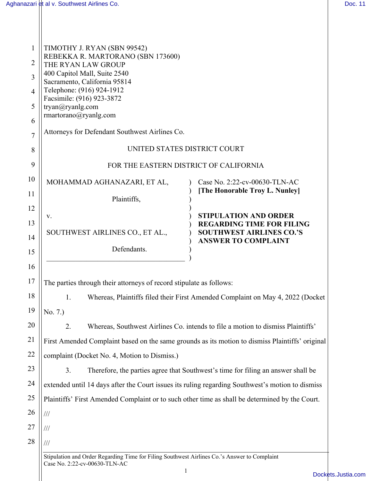| 1<br>$\overline{2}$ | TIMOTHY J. RYAN (SBN 99542)<br>REBEKKA R. MARTORANO (SBN 173600)<br>THE RYAN LAW GROUP<br>400 Capitol Mall, Suite 2540<br>Sacramento, California 95814 |                                                                 |  |
|---------------------|--------------------------------------------------------------------------------------------------------------------------------------------------------|-----------------------------------------------------------------|--|
| 3                   |                                                                                                                                                        |                                                                 |  |
| 4                   | Telephone: (916) 924-1912<br>Facsimile: (916) 923-3872                                                                                                 |                                                                 |  |
| 5                   | tryan@ryanlg.com<br>rmartorano@ryanlg.com                                                                                                              |                                                                 |  |
| 6                   |                                                                                                                                                        |                                                                 |  |
| $\overline{7}$      | Attorneys for Defendant Southwest Airlines Co.                                                                                                         |                                                                 |  |
| 8                   | UNITED STATES DISTRICT COURT                                                                                                                           |                                                                 |  |
| 9                   | FOR THE EASTERN DISTRICT OF CALIFORNIA                                                                                                                 |                                                                 |  |
| 10                  | MOHAMMAD AGHANAZARI, ET AL,                                                                                                                            | Case No. 2:22-cv-00630-TLN-AC<br>[The Honorable Troy L. Nunley] |  |
| 11                  | Plaintiffs,                                                                                                                                            |                                                                 |  |
| 12                  | V.                                                                                                                                                     | <b>STIPULATION AND ORDER</b>                                    |  |
| 13<br>14            | <b>REGARDING TIME FOR FILING</b><br><b>SOUTHWEST AIRLINES CO.'S</b><br>SOUTHWEST AIRLINES CO., ET AL.,                                                 |                                                                 |  |
| 15                  | Defendants.                                                                                                                                            | <b>ANSWER TO COMPLAINT</b>                                      |  |
| 16                  |                                                                                                                                                        |                                                                 |  |
| 17                  | The parties through their attorneys of record stipulate as follows:                                                                                    |                                                                 |  |
| 18                  | Whereas, Plaintiffs filed their First Amended Complaint on May 4, 2022 (Docket<br>1.                                                                   |                                                                 |  |
| 19                  | No. 7.)                                                                                                                                                |                                                                 |  |
| 20                  | 2.<br>Whereas, Southwest Airlines Co. intends to file a motion to dismiss Plaintiffs'                                                                  |                                                                 |  |
| 21                  | First Amended Complaint based on the same grounds as its motion to dismiss Plaintiffs' original                                                        |                                                                 |  |
| 22                  | complaint (Docket No. 4, Motion to Dismiss.)                                                                                                           |                                                                 |  |
| 23                  | 3.<br>Therefore, the parties agree that Southwest's time for filing an answer shall be                                                                 |                                                                 |  |
| 24                  | extended until 14 days after the Court issues its ruling regarding Southwest's motion to dismiss                                                       |                                                                 |  |
| 25                  | Plaintiffs' First Amended Complaint or to such other time as shall be determined by the Court.                                                         |                                                                 |  |
| 26                  | $\frac{1}{1}$                                                                                                                                          |                                                                 |  |
| 27                  | ///                                                                                                                                                    |                                                                 |  |
| 28                  |                                                                                                                                                        |                                                                 |  |
|                     | Stipulation and Order Regarding Time for Filing Southwest Airlines Co.'s Answer to Complaint<br>Case No. 2:22-cv-00630-TLN-AC                          |                                                                 |  |